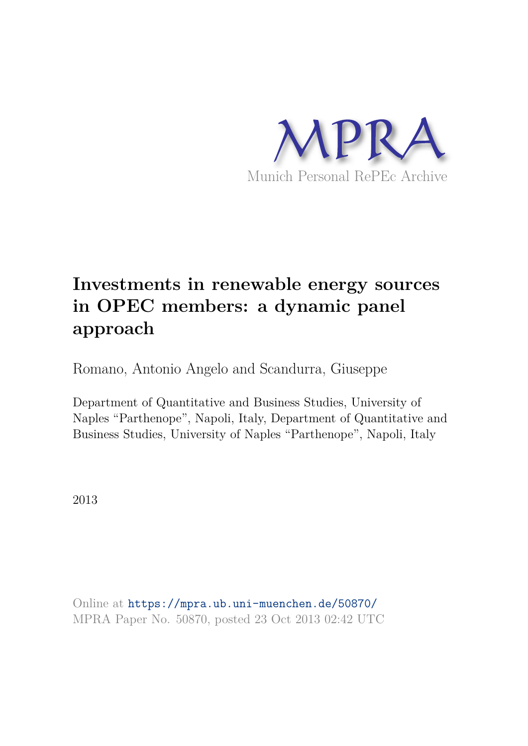

# **Investments in renewable energy sources in OPEC members: a dynamic panel approach**

Romano, Antonio Angelo and Scandurra, Giuseppe

Department of Quantitative and Business Studies, University of Naples "Parthenope", Napoli, Italy, Department of Quantitative and Business Studies, University of Naples "Parthenope", Napoli, Italy

2013

Online at https://mpra.ub.uni-muenchen.de/50870/ MPRA Paper No. 50870, posted 23 Oct 2013 02:42 UTC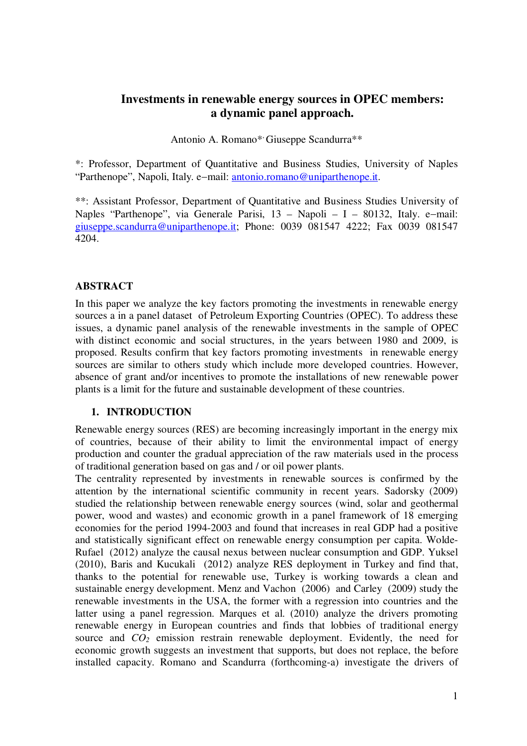# **Investments in renewable energy sources in OPEC members: a dynamic panel approach.**

Antonio A. Romano\* Giuseppe Scandurra\*\*

\*: Professor, Department of Quantitative and Business Studies, University of Naples "Parthenope", Napoli, Italy. e-mail: antonio.romano@uniparthenope.it.

\*\*: Assistant Professor, Department of Quantitative and Business Studies University of Naples "Parthenope", via Generale Parisi,  $13 - \text{Napoli} - I - 80132$ , Italy. e-mail: giuseppe.scandurra@uniparthenope.it; Phone: 0039 081547 4222; Fax 0039 081547 4204.

## **ABSTRACT**

In this paper we analyze the key factors promoting the investments in renewable energy sources a in a panel dataset of Petroleum Exporting Countries (OPEC). To address these issues, a dynamic panel analysis of the renewable investments in the sample of OPEC with distinct economic and social structures, in the years between 1980 and 2009, is proposed. Results confirm that key factors promoting investments in renewable energy sources are similar to others study which include more developed countries. However, absence of grant and/or incentives to promote the installations of new renewable power plants is a limit for the future and sustainable development of these countries.

#### **1. INTRODUCTION**

Renewable energy sources (RES) are becoming increasingly important in the energy mix of countries, because of their ability to limit the environmental impact of energy production and counter the gradual appreciation of the raw materials used in the process of traditional generation based on gas and / or oil power plants.

The centrality represented by investments in renewable sources is confirmed by the attention by the international scientific community in recent years. Sadorsky (2009) studied the relationship between renewable energy sources (wind, solar and geothermal power, wood and wastes) and economic growth in a panel framework of 18 emerging economies for the period 1994-2003 and found that increases in real GDP had a positive and statistically significant effect on renewable energy consumption per capita. Wolde-Rufael (2012) analyze the causal nexus between nuclear consumption and GDP. Yuksel (2010), Baris and Kucukali (2012) analyze RES deployment in Turkey and find that, thanks to the potential for renewable use, Turkey is working towards a clean and sustainable energy development. Menz and Vachon (2006) and Carley (2009) study the renewable investments in the USA, the former with a regression into countries and the latter using a panel regression. Marques et al. (2010) analyze the drivers promoting renewable energy in European countries and finds that lobbies of traditional energy source and  $CO<sub>2</sub>$  emission restrain renewable deployment. Evidently, the need for economic growth suggests an investment that supports, but does not replace, the before installed capacity. Romano and Scandurra (forthcoming-a) investigate the drivers of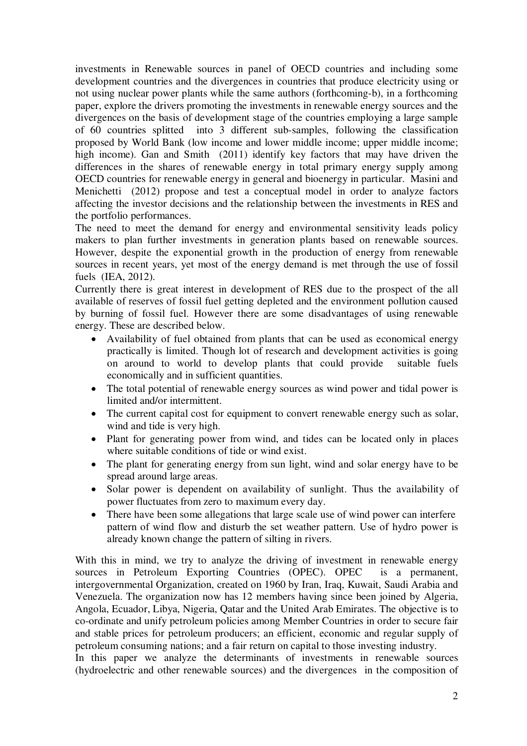investments in Renewable sources in panel of OECD countries and including some development countries and the divergences in countries that produce electricity using or not using nuclear power plants while the same authors (forthcoming-b), in a forthcoming paper, explore the drivers promoting the investments in renewable energy sources and the divergences on the basis of development stage of the countries employing a large sample of 60 countries splitted into 3 different sub-samples, following the classification proposed by World Bank (low income and lower middle income; upper middle income; high income). Gan and Smith (2011) identify key factors that may have driven the differences in the shares of renewable energy in total primary energy supply among OECD countries for renewable energy in general and bioenergy in particular. Masini and Menichetti (2012) propose and test a conceptual model in order to analyze factors affecting the investor decisions and the relationship between the investments in RES and the portfolio performances.

The need to meet the demand for energy and environmental sensitivity leads policy makers to plan further investments in generation plants based on renewable sources. However, despite the exponential growth in the production of energy from renewable sources in recent years, yet most of the energy demand is met through the use of fossil fuels (IEA, 2012).

Currently there is great interest in development of RES due to the prospect of the all available of reserves of fossil fuel getting depleted and the environment pollution caused by burning of fossil fuel. However there are some disadvantages of using renewable energy. These are described below.

- Availability of fuel obtained from plants that can be used as economical energy practically is limited. Though lot of research and development activities is going on around to world to develop plants that could provide suitable fuels economically and in sufficient quantities.
- The total potential of renewable energy sources as wind power and tidal power is limited and/or intermittent.
- The current capital cost for equipment to convert renewable energy such as solar, wind and tide is very high.
- Plant for generating power from wind, and tides can be located only in places where suitable conditions of tide or wind exist.
- The plant for generating energy from sun light, wind and solar energy have to be spread around large areas.
- Solar power is dependent on availability of sunlight. Thus the availability of power fluctuates from zero to maximum every day.
- There have been some allegations that large scale use of wind power can interfere pattern of wind flow and disturb the set weather pattern. Use of hydro power is already known change the pattern of silting in rivers.

With this in mind, we try to analyze the driving of investment in renewable energy sources in Petroleum Exporting Countries (OPEC). OPEC is a permanent, intergovernmental Organization, created on 1960 by Iran, Iraq, Kuwait, Saudi Arabia and Venezuela. The organization now has 12 members having since been joined by Algeria, Angola, Ecuador, Libya, Nigeria, Qatar and the United Arab Emirates. The objective is to co-ordinate and unify petroleum policies among Member Countries in order to secure fair and stable prices for petroleum producers; an efficient, economic and regular supply of petroleum consuming nations; and a fair return on capital to those investing industry.

In this paper we analyze the determinants of investments in renewable sources (hydroelectric and other renewable sources) and the divergences in the composition of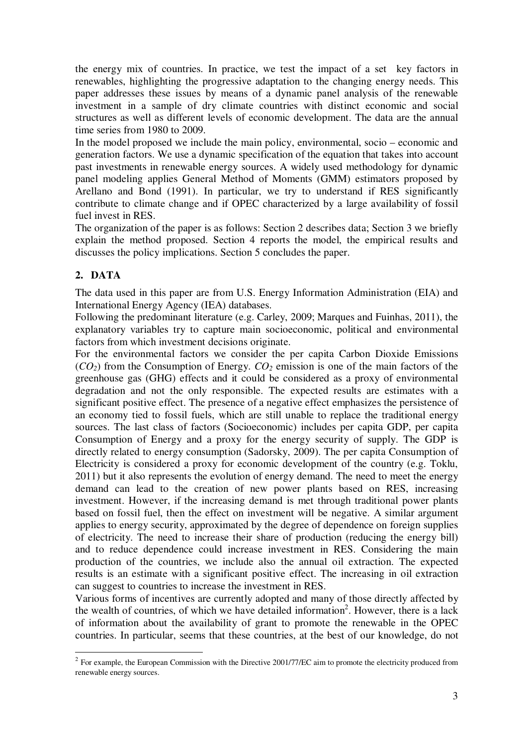the energy mix of countries. In practice, we test the impact of a set key factors in renewables, highlighting the progressive adaptation to the changing energy needs. This paper addresses these issues by means of a dynamic panel analysis of the renewable investment in a sample of dry climate countries with distinct economic and social structures as well as different levels of economic development. The data are the annual time series from 1980 to 2009.

In the model proposed we include the main policy, environmental, socio – economic and generation factors. We use a dynamic specification of the equation that takes into account past investments in renewable energy sources. A widely used methodology for dynamic panel modeling applies General Method of Moments (GMM) estimators proposed by Arellano and Bond (1991). In particular, we try to understand if RES significantly contribute to climate change and if OPEC characterized by a large availability of fossil fuel invest in RES.

The organization of the paper is as follows: Section 2 describes data; Section 3 we briefly explain the method proposed. Section 4 reports the model, the empirical results and discusses the policy implications. Section 5 concludes the paper.

# **2. DATA**

The data used in this paper are from U.S. Energy Information Administration (EIA) and International Energy Agency (IEA) databases.

Following the predominant literature (e.g. Carley, 2009; Marques and Fuinhas, 2011), the explanatory variables try to capture main socioeconomic, political and environmental factors from which investment decisions originate.

For the environmental factors we consider the per capita Carbon Dioxide Emissions  $(CO<sub>2</sub>)$  from the Consumption of Energy.  $CO<sub>2</sub>$  emission is one of the main factors of the greenhouse gas (GHG) effects and it could be considered as a proxy of environmental degradation and not the only responsible. The expected results are estimates with a significant positive effect. The presence of a negative effect emphasizes the persistence of an economy tied to fossil fuels, which are still unable to replace the traditional energy sources. The last class of factors (Socioeconomic) includes per capita GDP, per capita Consumption of Energy and a proxy for the energy security of supply. The GDP is directly related to energy consumption (Sadorsky, 2009). The per capita Consumption of Electricity is considered a proxy for economic development of the country (e.g. Toklu, 2011) but it also represents the evolution of energy demand. The need to meet the energy demand can lead to the creation of new power plants based on RES, increasing investment. However, if the increasing demand is met through traditional power plants based on fossil fuel, then the effect on investment will be negative. A similar argument applies to energy security, approximated by the degree of dependence on foreign supplies of electricity. The need to increase their share of production (reducing the energy bill) and to reduce dependence could increase investment in RES. Considering the main production of the countries, we include also the annual oil extraction. The expected results is an estimate with a significant positive effect. The increasing in oil extraction can suggest to countries to increase the investment in RES.

Various forms of incentives are currently adopted and many of those directly affected by the wealth of countries, of which we have detailed information<sup>2</sup>. However, there is a lack of information about the availability of grant to promote the renewable in the OPEC countries. In particular, seems that these countries, at the best of our knowledge, do not

<sup>&</sup>lt;sup>2</sup> For example, the European Commission with the Directive 2001/77/EC aim to promote the electricity produced from renewable energy sources.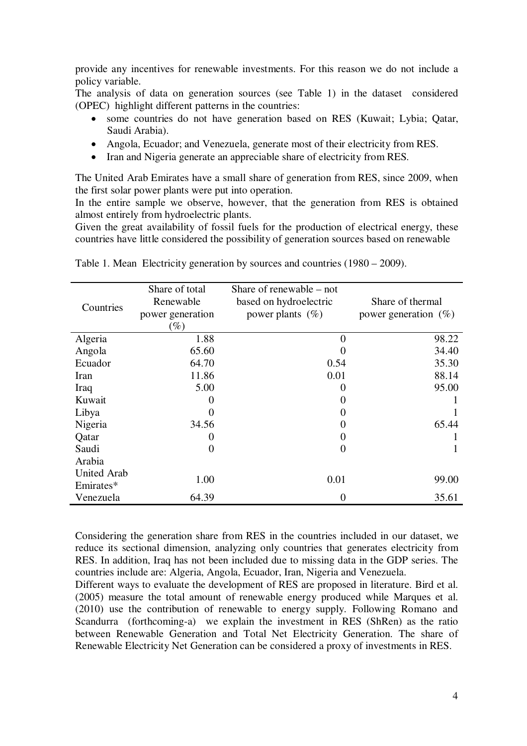provide any incentives for renewable investments. For this reason we do not include a policy variable.

The analysis of data on generation sources (see Table 1) in the dataset considered (OPEC) highlight different patterns in the countries:

- some countries do not have generation based on RES (Kuwait; Lybia; Qatar, Saudi Arabia).
- Angola, Ecuador; and Venezuela, generate most of their electricity from RES.
- Iran and Nigeria generate an appreciable share of electricity from RES.

The United Arab Emirates have a small share of generation from RES, since 2009, when the first solar power plants were put into operation.

In the entire sample we observe, however, that the generation from RES is obtained almost entirely from hydroelectric plants.

Given the great availability of fossil fuels for the production of electrical energy, these countries have little considered the possibility of generation sources based on renewable

| Countries                       | Share of total<br>Renewable<br>power generation<br>$(\%)$ | Share of renewable $-$ not<br>based on hydroelectric<br>power plants $(\%)$ | Share of thermal<br>power generation $(\%)$ |  |  |
|---------------------------------|-----------------------------------------------------------|-----------------------------------------------------------------------------|---------------------------------------------|--|--|
| Algeria                         | 1.88                                                      | $\theta$                                                                    | 98.22                                       |  |  |
| Angola                          | 65.60                                                     |                                                                             | 34.40                                       |  |  |
| Ecuador                         | 64.70                                                     | 0.54                                                                        | 35.30                                       |  |  |
| Iran                            | 11.86                                                     | 0.01                                                                        | 88.14                                       |  |  |
| Iraq                            | 5.00                                                      |                                                                             | 95.00                                       |  |  |
| Kuwait                          |                                                           |                                                                             |                                             |  |  |
| Libya                           |                                                           |                                                                             |                                             |  |  |
| Nigeria                         | 34.56                                                     |                                                                             | 65.44                                       |  |  |
| Qatar                           |                                                           |                                                                             |                                             |  |  |
| Saudi                           | $\overline{0}$                                            | 0                                                                           |                                             |  |  |
| Arabia                          |                                                           |                                                                             |                                             |  |  |
| <b>United Arab</b><br>Emirates* | 1.00                                                      | 0.01                                                                        | 99.00                                       |  |  |
| Venezuela                       | 64.39                                                     | $\Omega$                                                                    | 35.61                                       |  |  |

Table 1. Mean Electricity generation by sources and countries (1980 – 2009).

Considering the generation share from RES in the countries included in our dataset, we reduce its sectional dimension, analyzing only countries that generates electricity from RES. In addition, Iraq has not been included due to missing data in the GDP series. The countries include are: Algeria, Angola, Ecuador, Iran, Nigeria and Venezuela.

Different ways to evaluate the development of RES are proposed in literature. Bird et al. (2005) measure the total amount of renewable energy produced while Marques et al. (2010) use the contribution of renewable to energy supply. Following Romano and Scandurra (forthcoming-a) we explain the investment in RES (ShRen) as the ratio between Renewable Generation and Total Net Electricity Generation. The share of Renewable Electricity Net Generation can be considered a proxy of investments in RES.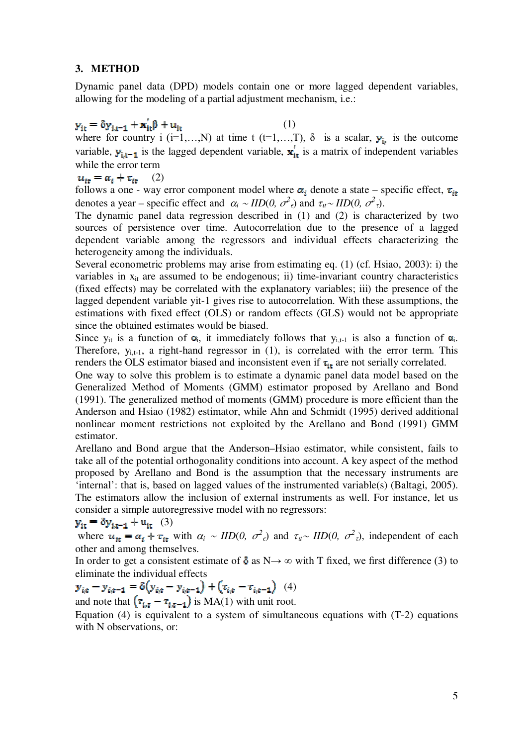#### **3. METHOD**

Dynamic panel data (DPD) models contain one or more lagged dependent variables, allowing for the modeling of a partial adjustment mechanism, i.e.:

## $(1)$

where for country i (i=1,...,N) at time t (t=1,...,T),  $\delta$  is a scalar,  $y_{i}$  is the outcome variable,  $y_{i,t-1}$  is the lagged dependent variable,  $x'_{it}$  is a matrix of independent variables while the error term

# $u_{it} = \alpha_i + \tau_{it}$  (2)

follows a one - way error component model where  $\alpha_i$  denote a state – specific effect,  $\tau_{i\tau}$ denotes a year – specific effect and  $\alpha_i \sim IID(0, \sigma^2_{\epsilon})$  and  $\tau_{\mu} \sim IID(0, \sigma^2_{\tau})$ .

The dynamic panel data regression described in (1) and (2) is characterized by two sources of persistence over time. Autocorrelation due to the presence of a lagged dependent variable among the regressors and individual effects characterizing the heterogeneity among the individuals.

Several econometric problems may arise from estimating eq. (1) (cf. Hsiao, 2003): i) the variables in  $x_{it}$  are assumed to be endogenous; ii) time-invariant country characteristics (fixed effects) may be correlated with the explanatory variables; iii) the presence of the lagged dependent variable yit-1 gives rise to autocorrelation. With these assumptions, the estimations with fixed effect (OLS) or random effects (GLS) would not be appropriate since the obtained estimates would be biased.

Since  $y_{it}$  is a function of  $\alpha_i$ , it immediately follows that  $y_{i,t-1}$  is also a function of  $\alpha_i$ . Therefore,  $y_{i,t-1}$ , a right-hand regressor in (1), is correlated with the error term. This renders the OLS estimator biased and inconsistent even if  $\tau_{it}$  are not serially correlated.

One way to solve this problem is to estimate a dynamic panel data model based on the Generalized Method of Moments (GMM) estimator proposed by Arellano and Bond (1991). The generalized method of moments (GMM) procedure is more efficient than the Anderson and Hsiao (1982) estimator, while Ahn and Schmidt (1995) derived additional nonlinear moment restrictions not exploited by the Arellano and Bond (1991) GMM estimator.

Arellano and Bond argue that the Anderson–Hsiao estimator, while consistent, fails to take all of the potential orthogonality conditions into account. A key aspect of the method proposed by Arellano and Bond is the assumption that the necessary instruments are 'internal': that is, based on lagged values of the instrumented variable(s) (Baltagi, 2005). The estimators allow the inclusion of external instruments as well. For instance, let us consider a simple autoregressive model with no regressors:

$$
\mathbf{y}_{it} = \delta \mathbf{y}_{i,t-1} + \mathbf{u}_{it} \quad (3)
$$

where  $u_{it} = \alpha_i + \tau_{it}$  with  $\alpha_i \sim IID(0, \sigma^2_{\epsilon})$  and  $\tau_{it} \sim IID(0, \sigma^2_{\epsilon})$ , independent of each other and among themselves.

In order to get a consistent estimate of  $\delta$  as N $\rightarrow \infty$  with T fixed, we first difference (3) to eliminate the individual effects

$$
\mathbf{y}_{i,t} - \mathbf{y}_{i,t-1} = \delta(y_{i,t} - y_{i,t-1}) + (x_{i,t} - x_{i,t-1}) \tag{4}
$$
  
and note that  $(x_{i,t} - x_{i,t-1})$  is MA(1) with unit root.

Equation (4) is equivalent to a system of simultaneous equations with (T-2) equations with N observations, or: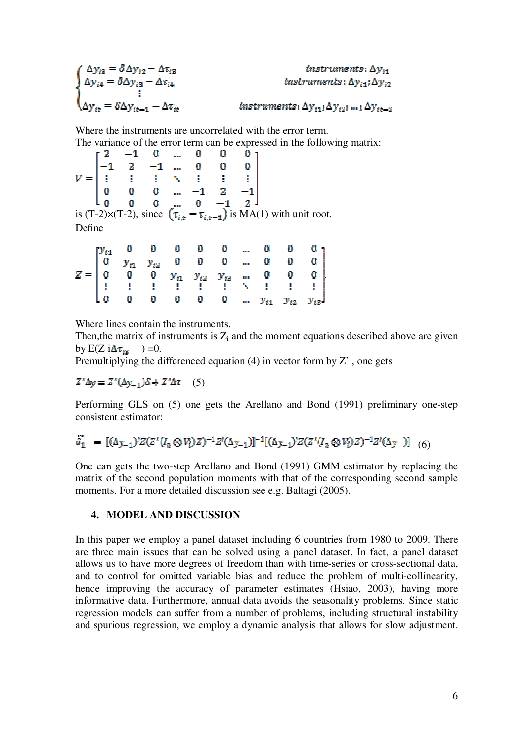$$
\begin{cases} \Delta y_{i3} = \delta \Delta y_{i2} - \Delta \tau_{i3} & instruments: \Delta y_{i1} \\ \Delta y_{i4} = \delta \Delta y_{i3} - \Delta \tau_{i4} & instruments: \Delta y_{i1} \Delta y_{i2} \\ \vdots & \vdots \\ \Delta y_{it} = \delta \Delta y_{it-1} - \Delta \tau_{it} & instruments: \Delta y_{i1} \Delta y_{i2} \vdots \ldots; \Delta y_{it-2} \end{cases}
$$

Where the instruments are uncorrelated with the error term. The variance of the error term can be expressed in the following matrix:

|        |  |  |  | $V = \begin{bmatrix} 2 & -1 & 0 & \dots & 0 & 0 & 0 \\ -1 & 2 & -1 & \dots & 0 & 0 & 0 \\ \vdots & \vdots & \vdots & \ddots & \vdots & \vdots & \vdots \\ 0 & 0 & 0 & \dots & -1 & 2 & -1 \\ 0 & 0 & 0 & \dots & 0 & -1 & 2 \end{bmatrix}$<br>is $(T-2)\times(T-2)$ , since $(\tau_{i,t} - \tau_{i,t-1})$ is $MA(1)$ with unit root. |
|--------|--|--|--|--------------------------------------------------------------------------------------------------------------------------------------------------------------------------------------------------------------------------------------------------------------------------------------------------------------------------------------|
|        |  |  |  |                                                                                                                                                                                                                                                                                                                                      |
|        |  |  |  |                                                                                                                                                                                                                                                                                                                                      |
|        |  |  |  |                                                                                                                                                                                                                                                                                                                                      |
| Define |  |  |  |                                                                                                                                                                                                                                                                                                                                      |

|  |          |  |  |  | $Z = \begin{bmatrix} y_{i1} & 0 & 0 & 0 & 0 & 0 & \dots & 0 & 0 & 0 \\ 0 & y_{i1} & y_{i2} & 0 & 0 & 0 & \dots & 0 & 0 & 0 \\ 0 & 0 & 0 & y_{i1} & y_{i2} & y_{i3} & \dots & 0 & 0 & 0 \\ \vdots & \vdots & \vdots & \vdots & \vdots & \vdots & \ddots & \vdots & \vdots & \vdots \end{bmatrix}.$ |
|--|----------|--|--|--|---------------------------------------------------------------------------------------------------------------------------------------------------------------------------------------------------------------------------------------------------------------------------------------------------|
|  |          |  |  |  |                                                                                                                                                                                                                                                                                                   |
|  |          |  |  |  |                                                                                                                                                                                                                                                                                                   |
|  | $\bf{o}$ |  |  |  | 0 0 0 0 $y_{i1}$ $y_{i2}$ $y_{i3}$                                                                                                                                                                                                                                                                |

Where lines contain the instruments.

Then, the matrix of instruments is  $Z_i$  and the moment equations described above are given by  $E(Z i \Delta \tau_{i3} ) = 0.$ 

Premultiplying the differenced equation  $(4)$  in vector form by  $Z'$ , one gets

 $Z'\Delta y = Z'(\Delta y_{-1})\delta + Z'\Delta \tau$  (5)

Performing GLS on (5) one gets the Arellano and Bond (1991) preliminary one-step consistent estimator:

$$
\hat{\delta_1} = [(\Delta y_{-1})'Z(Z'(\mathcal{I}_n \otimes V_i)Z)^{-1}Z'(\Delta y_{-1})]^{-1}[(\Delta y_{-1})'Z(Z'(\mathcal{I}_n \otimes V_i)Z)^{-1}Z'(\Delta y)] \quad (6)
$$

One can gets the two-step Arellano and Bond (1991) GMM estimator by replacing the matrix of the second population moments with that of the corresponding second sample moments. For a more detailed discussion see e.g. Baltagi (2005).

## **4. MODEL AND DISCUSSION**

In this paper we employ a panel dataset including 6 countries from 1980 to 2009. There are three main issues that can be solved using a panel dataset. In fact, a panel dataset allows us to have more degrees of freedom than with time-series or cross-sectional data, and to control for omitted variable bias and reduce the problem of multi-collinearity, hence improving the accuracy of parameter estimates (Hsiao, 2003), having more informative data. Furthermore, annual data avoids the seasonality problems. Since static regression models can suffer from a number of problems, including structural instability and spurious regression, we employ a dynamic analysis that allows for slow adjustment.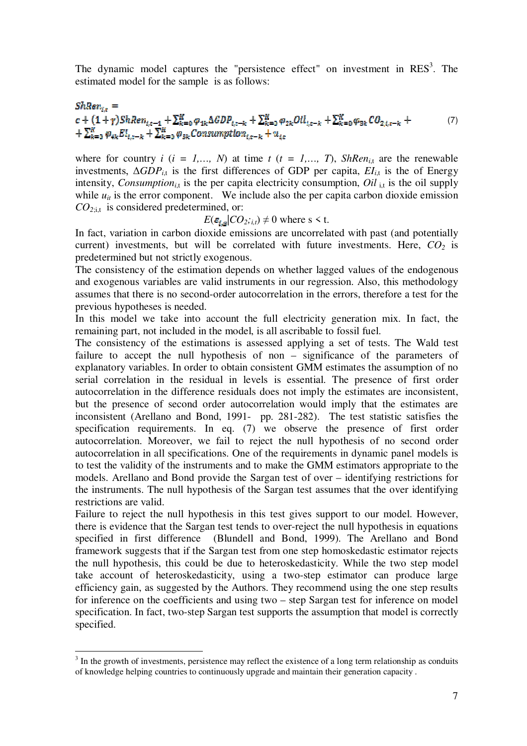The dynamic model captures the "persistence effect" on investment in  $RES<sup>3</sup>$ . The estimated model for the sample is as follows:

#### $ShRen_{ix}=$  $c + (1+\gamma) ShRen_{l,t-\frac{1}{2}} + \sum_{k=0}^{K} \varphi_{1k} \Delta GDP_{l,t-k} + \sum_{k=0}^{K} \varphi_{2k} Oil_{l,t-k} + \sum_{k=0}^{K} \varphi_{3k} CO_{2,l,t-k} +$ (7)  $+\sum_{k=0}^{K} \varphi_{4k} E I_{i,k-k} + \sum_{k=0}^{K} \varphi_{5k}$  Consumption<sub>ix-k</sub> +  $u_{ik}$

where for country  $i$  ( $i = 1,..., N$ ) at time  $t$  ( $t = 1,..., T$ ), *ShRen*<sub>*i*,t</sub> are the renewable investments,  $\Delta GDP_{i,t}$  is the first differences of GDP per capita,  $EI_{i,t}$  is the of Energy intensity, *Consumption*<sub>it</sub> is the per capita electricity consumption, *Oil*  $_{i,t}$  is the oil supply while  $u_{it}$  is the error component. We include also the per capita carbon dioxide emission *CO<sup>2</sup>*;i,t is considered predetermined, or:

# $E(\varepsilon_{i,s}|CO_2; i,t) \neq 0$  where s < t.

In fact, variation in carbon dioxide emissions are uncorrelated with past (and potentially current) investments, but will be correlated with future investments. Here, *CO2* is predetermined but not strictly exogenous.

The consistency of the estimation depends on whether lagged values of the endogenous and exogenous variables are valid instruments in our regression. Also, this methodology assumes that there is no second-order autocorrelation in the errors, therefore a test for the previous hypotheses is needed.

In this model we take into account the full electricity generation mix. In fact, the remaining part, not included in the model, is all ascribable to fossil fuel.

The consistency of the estimations is assessed applying a set of tests. The Wald test failure to accept the null hypothesis of non – significance of the parameters of explanatory variables. In order to obtain consistent GMM estimates the assumption of no serial correlation in the residual in levels is essential. The presence of first order autocorrelation in the difference residuals does not imply the estimates are inconsistent, but the presence of second order autocorrelation would imply that the estimates are inconsistent (Arellano and Bond, 1991- pp. 281-282). The test statistic satisfies the specification requirements. In eq. (7) we observe the presence of first order autocorrelation. Moreover, we fail to reject the null hypothesis of no second order autocorrelation in all specifications. One of the requirements in dynamic panel models is to test the validity of the instruments and to make the GMM estimators appropriate to the models. Arellano and Bond provide the Sargan test of over – identifying restrictions for the instruments. The null hypothesis of the Sargan test assumes that the over identifying restrictions are valid.

Failure to reject the null hypothesis in this test gives support to our model. However, there is evidence that the Sargan test tends to over-reject the null hypothesis in equations specified in first difference (Blundell and Bond, 1999). The Arellano and Bond framework suggests that if the Sargan test from one step homoskedastic estimator rejects the null hypothesis, this could be due to heteroskedasticity. While the two step model take account of heteroskedasticity, using a two-step estimator can produce large efficiency gain, as suggested by the Authors. They recommend using the one step results for inference on the coefficients and using two – step Sargan test for inference on model specification. In fact, two-step Sargan test supports the assumption that model is correctly specified.

<sup>&</sup>lt;sup>3</sup> In the growth of investments, persistence may reflect the existence of a long term relationship as conduits of knowledge helping countries to continuously upgrade and maintain their generation capacity .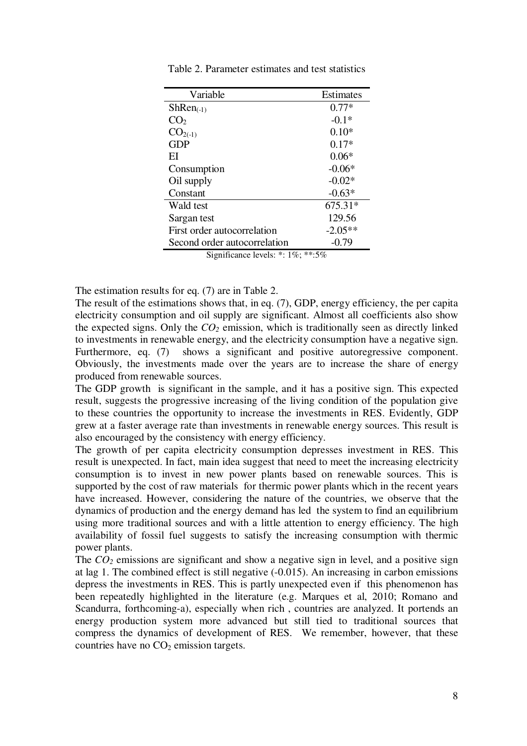| Variable                                 | Estimates |  |  |  |
|------------------------------------------|-----------|--|--|--|
| $ShRen_{(-1)}$                           | $0.77*$   |  |  |  |
| CO <sub>2</sub>                          | $-0.1*$   |  |  |  |
| $CO2(-1)$                                | $0.10*$   |  |  |  |
| <b>GDP</b>                               | $0.17*$   |  |  |  |
| ЕI                                       | $0.06*$   |  |  |  |
| Consumption                              | $-0.06*$  |  |  |  |
| Oil supply                               | $-0.02*$  |  |  |  |
| Constant                                 | $-0.63*$  |  |  |  |
| Wald test                                | 675.31*   |  |  |  |
| Sargan test                              | 129.56    |  |  |  |
| First order autocorrelation              | $-2.05**$ |  |  |  |
| Second order autocorrelation             | $-0.79$   |  |  |  |
| Significance levels: $*$ : 1\%; $**:5\%$ |           |  |  |  |

Table 2. Parameter estimates and test statistics

The estimation results for eq. (7) are in Table 2.

The result of the estimations shows that, in eq. (7), GDP, energy efficiency, the per capita electricity consumption and oil supply are significant. Almost all coefficients also show the expected signs. Only the  $CO<sub>2</sub>$  emission, which is traditionally seen as directly linked to investments in renewable energy, and the electricity consumption have a negative sign. Furthermore, eq. (7) shows a significant and positive autoregressive component. Obviously, the investments made over the years are to increase the share of energy produced from renewable sources.

The GDP growth is significant in the sample, and it has a positive sign. This expected result, suggests the progressive increasing of the living condition of the population give to these countries the opportunity to increase the investments in RES. Evidently, GDP grew at a faster average rate than investments in renewable energy sources. This result is also encouraged by the consistency with energy efficiency.

The growth of per capita electricity consumption depresses investment in RES. This result is unexpected. In fact, main idea suggest that need to meet the increasing electricity consumption is to invest in new power plants based on renewable sources. This is supported by the cost of raw materials for thermic power plants which in the recent years have increased. However, considering the nature of the countries, we observe that the dynamics of production and the energy demand has led the system to find an equilibrium using more traditional sources and with a little attention to energy efficiency. The high availability of fossil fuel suggests to satisfy the increasing consumption with thermic power plants.

The  $CO<sub>2</sub>$  emissions are significant and show a negative sign in level, and a positive sign at lag 1. The combined effect is still negative (-0.015). An increasing in carbon emissions depress the investments in RES. This is partly unexpected even if this phenomenon has been repeatedly highlighted in the literature (e.g. Marques et al, 2010; Romano and Scandurra, forthcoming-a), especially when rich , countries are analyzed. It portends an energy production system more advanced but still tied to traditional sources that compress the dynamics of development of RES. We remember, however, that these countries have no  $CO<sub>2</sub>$  emission targets.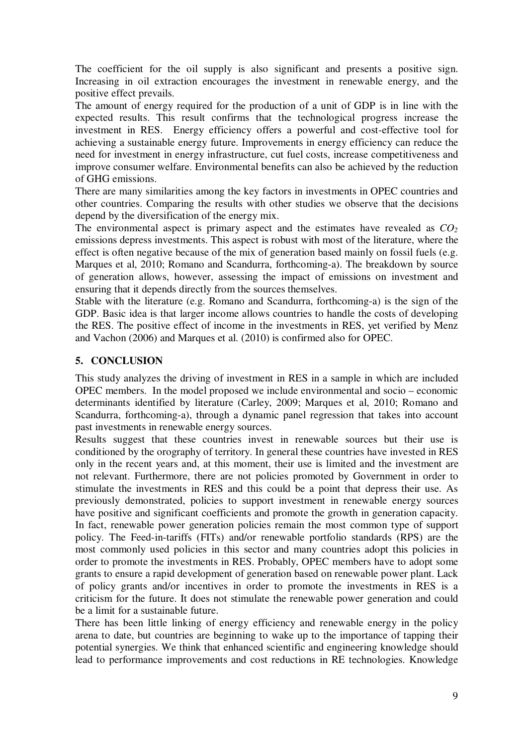The coefficient for the oil supply is also significant and presents a positive sign. Increasing in oil extraction encourages the investment in renewable energy, and the positive effect prevails.

The amount of energy required for the production of a unit of GDP is in line with the expected results. This result confirms that the technological progress increase the investment in RES. Energy efficiency offers a powerful and cost-effective tool for achieving a sustainable energy future. Improvements in energy efficiency can reduce the need for investment in energy infrastructure, cut fuel costs, increase competitiveness and improve consumer welfare. Environmental benefits can also be achieved by the reduction of GHG emissions.

There are many similarities among the key factors in investments in OPEC countries and other countries. Comparing the results with other studies we observe that the decisions depend by the diversification of the energy mix.

The environmental aspect is primary aspect and the estimates have revealed as *CO<sup>2</sup>* emissions depress investments. This aspect is robust with most of the literature, where the effect is often negative because of the mix of generation based mainly on fossil fuels (e.g. Marques et al, 2010; Romano and Scandurra, forthcoming-a). The breakdown by source of generation allows, however, assessing the impact of emissions on investment and ensuring that it depends directly from the sources themselves.

Stable with the literature (e.g. Romano and Scandurra, forthcoming-a) is the sign of the GDP. Basic idea is that larger income allows countries to handle the costs of developing the RES. The positive effect of income in the investments in RES, yet verified by Menz and Vachon (2006) and Marques et al. (2010) is confirmed also for OPEC.

# **5. CONCLUSION**

This study analyzes the driving of investment in RES in a sample in which are included OPEC members. In the model proposed we include environmental and socio – economic determinants identified by literature (Carley, 2009; Marques et al, 2010; Romano and Scandurra, forthcoming-a), through a dynamic panel regression that takes into account past investments in renewable energy sources.

Results suggest that these countries invest in renewable sources but their use is conditioned by the orography of territory. In general these countries have invested in RES only in the recent years and, at this moment, their use is limited and the investment are not relevant. Furthermore, there are not policies promoted by Government in order to stimulate the investments in RES and this could be a point that depress their use. As previously demonstrated, policies to support investment in renewable energy sources have positive and significant coefficients and promote the growth in generation capacity. In fact, renewable power generation policies remain the most common type of support policy. The Feed-in-tariffs (FITs) and/or renewable portfolio standards (RPS) are the most commonly used policies in this sector and many countries adopt this policies in order to promote the investments in RES. Probably, OPEC members have to adopt some grants to ensure a rapid development of generation based on renewable power plant. Lack of policy grants and/or incentives in order to promote the investments in RES is a criticism for the future. It does not stimulate the renewable power generation and could be a limit for a sustainable future.

There has been little linking of energy efficiency and renewable energy in the policy arena to date, but countries are beginning to wake up to the importance of tapping their potential synergies. We think that enhanced scientific and engineering knowledge should lead to performance improvements and cost reductions in RE technologies. Knowledge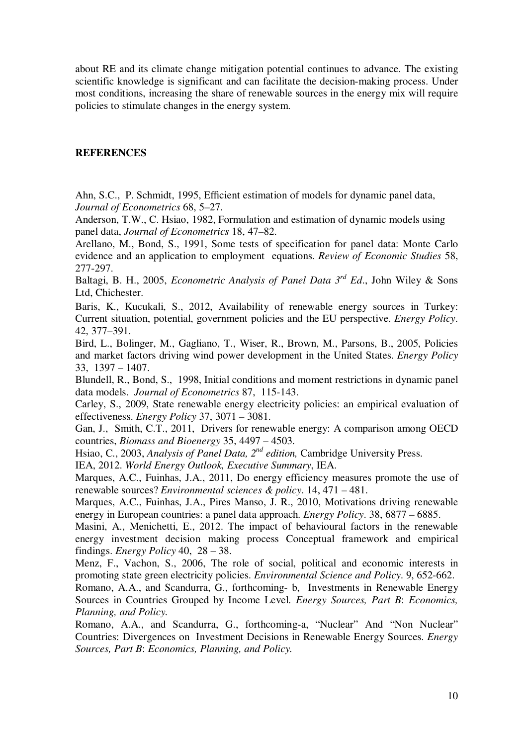about RE and its climate change mitigation potential continues to advance. The existing scientific knowledge is significant and can facilitate the decision-making process. Under most conditions, increasing the share of renewable sources in the energy mix will require policies to stimulate changes in the energy system.

#### **REFERENCES**

Ahn, S.C., P. Schmidt, 1995, Efficient estimation of models for dynamic panel data, *Journal of Econometrics* 68, 5–27.

Anderson, T.W., C. Hsiao, 1982, Formulation and estimation of dynamic models using panel data, *Journal of Econometrics* 18, 47–82.

Arellano, M., Bond, S., 1991, Some tests of specification for panel data: Monte Carlo evidence and an application to employment equations. *Review of Economic Studies* 58, 277-297.

Baltagi, B. H., 2005, *Econometric Analysis of Panel Data 3rd Ed*., John Wiley & Sons Ltd, Chichester.

Baris, K., Kucukali, S., 2012, Availability of renewable energy sources in Turkey: Current situation, potential, government policies and the EU perspective. *Energy Policy*. 42, 377–391.

Bird, L., Bolinger, M., Gagliano, T., Wiser, R., Brown, M., Parsons, B., 2005, Policies and market factors driving wind power development in the United States. *Energy Policy* 33, 1397 – 1407.

Blundell, R., Bond, S., 1998, Initial conditions and moment restrictions in dynamic panel data models. *Journal of Econometrics* 87, 115-143.

Carley, S., 2009, State renewable energy electricity policies: an empirical evaluation of effectiveness. *Energy Policy* 37, 3071 – 3081.

Gan, J., Smith, C.T., 2011, Drivers for renewable energy: A comparison among OECD countries, *Biomass and Bioenergy* 35, 4497 – 4503.

Hsiao, C., 2003, *Analysis of Panel Data, 2nd edition,* Cambridge University Press.

IEA, 2012. *World Energy Outlook, Executive Summary*, IEA.

Marques, A.C., Fuinhas, J.A., 2011, Do energy efficiency measures promote the use of renewable sources? *Environmental sciences & policy*. 14, 471 – 481.

Marques, A.C., Fuinhas, J.A., Pires Manso, J. R., 2010, Motivations driving renewable energy in European countries: a panel data approach. *Energy Policy*. 38, 6877 – 6885.

Masini, A., Menichetti, E., 2012. The impact of behavioural factors in the renewable energy investment decision making process Conceptual framework and empirical findings. *Energy Policy* 40, 28 – 38.

Menz, F., Vachon, S., 2006, The role of social, political and economic interests in promoting state green electricity policies. *Environmental Science and Policy*. 9, 652-662.

Romano, A.A., and Scandurra, G., forthcoming- b, Investments in Renewable Energy Sources in Countries Grouped by Income Level. *Energy Sources, Part B*: *Economics, Planning, and Policy.* 

Romano, A.A., and Scandurra, G., forthcoming-a, "Nuclear" And "Non Nuclear" Countries: Divergences on Investment Decisions in Renewable Energy Sources. *Energy Sources, Part B*: *Economics, Planning, and Policy.*